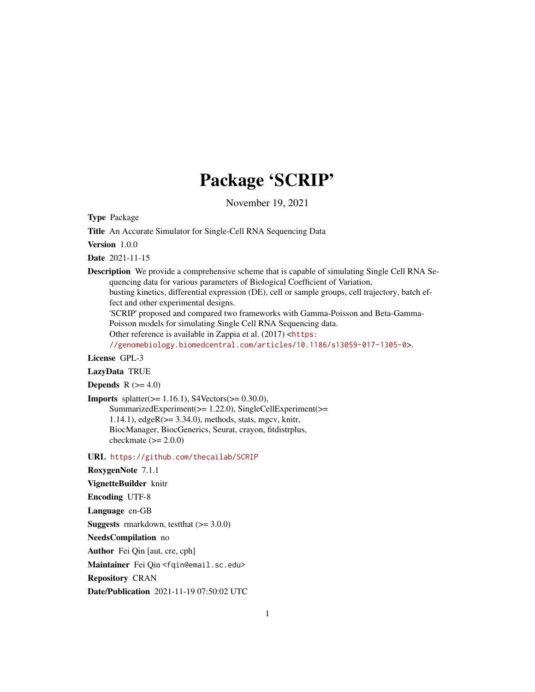# Package 'SCRIP'

November 19, 2021

Type Package

Title An Accurate Simulator for Single-Cell RNA Sequencing Data

Version 1.0.0

Date 2021-11-15

Description We provide a comprehensive scheme that is capable of simulating Single Cell RNA Sequencing data for various parameters of Biological Coefficient of Variation, busting kinetics, differential expression (DE), cell or sample groups, cell trajectory, batch ef-

fect and other experimental designs.

'SCRIP' proposed and compared two frameworks with Gamma-Poisson and Beta-Gamma-Poisson models for simulating Single Cell RNA Sequencing data.

Other reference is available in Zappia et al. (2017) <[https:](https://genomebiology.biomedcentral.com/articles/10.1186/s13059-017-1305-0)

[//genomebiology.biomedcentral.com/articles/10.1186/s13059-017-1305-0](https://genomebiology.biomedcentral.com/articles/10.1186/s13059-017-1305-0)>.

License GPL-3

LazyData TRUE

Depends  $R$  ( $>= 4.0$ )

**Imports** splatter( $>= 1.16.1$ ), S4Vectors( $>= 0.30.0$ ), SummarizedExperiment(>= 1.22.0), SingleCellExperiment(>= 1.14.1),  $edge(x=3.34.0)$ , methods, stats, mgcv, knitr, BiocManager, BiocGenerics, Seurat, crayon, fitdistrplus, checkmate  $(>= 2.0.0)$ 

URL <https://github.com/thecailab/SCRIP>

RoxygenNote 7.1.1

VignetteBuilder knitr

Encoding UTF-8

Language en-GB

**Suggests** rmarkdown, test that  $(>= 3.0.0)$ 

NeedsCompilation no

Author Fei Qin [aut, cre, cph]

Maintainer Fei Qin <fqin@email.sc.edu>

Repository CRAN

Date/Publication 2021-11-19 07:50:02 UTC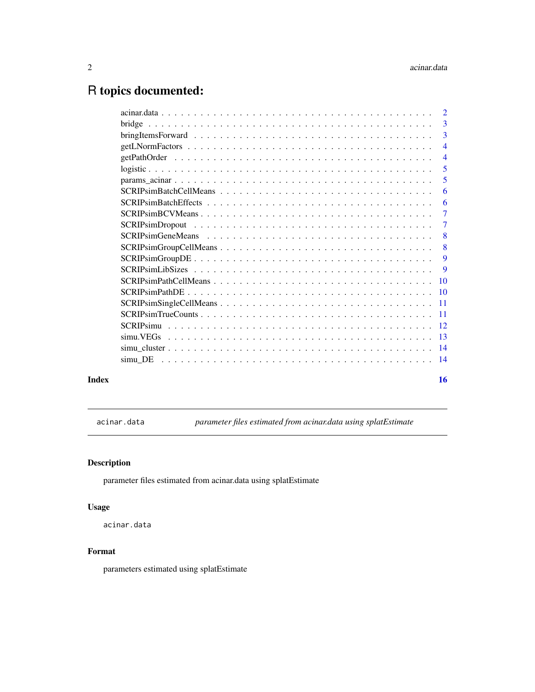## <span id="page-1-0"></span>R topics documented:

|       |         | $\overline{3}$            |
|-------|---------|---------------------------|
|       |         | $\overline{4}$            |
|       |         |                           |
|       |         | 5                         |
|       |         | 5                         |
|       |         | 6                         |
|       |         | 6                         |
|       |         | -7                        |
|       |         | $\overline{7}$            |
|       |         | $\overline{\phantom{0}}8$ |
|       |         | -8                        |
|       |         | 9                         |
|       |         | 9                         |
|       |         |                           |
|       |         |                           |
|       |         |                           |
|       |         |                           |
|       |         |                           |
|       |         |                           |
|       |         |                           |
|       | simu DE |                           |
|       |         |                           |
| Index |         | 16                        |

acinar.data *parameter files estimated from acinar.data using splatEstimate*

### Description

parameter files estimated from acinar.data using splatEstimate

#### Usage

acinar.data

#### Format

parameters estimated using splatEstimate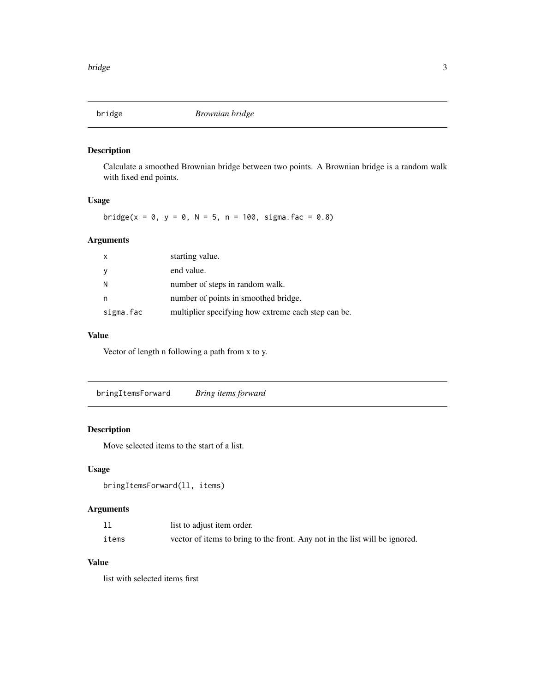<span id="page-2-0"></span>

Calculate a smoothed Brownian bridge between two points. A Brownian bridge is a random walk with fixed end points.

#### Usage

bridge(x = 0, y = 0, N = 5, n = 100, sigma.fac = 0.8)

### Arguments

| $\mathsf{x}$ | starting value.                                     |
|--------------|-----------------------------------------------------|
| y            | end value.                                          |
| N            | number of steps in random walk.                     |
| n            | number of points in smoothed bridge.                |
| sigma.fac    | multiplier specifying how extreme each step can be. |

#### Value

Vector of length n following a path from x to y.

bringItemsForward *Bring items forward*

#### Description

Move selected items to the start of a list.

#### Usage

```
bringItemsForward(ll, items)
```
#### Arguments

|       | list to adjust item order.                                                  |
|-------|-----------------------------------------------------------------------------|
| items | vector of items to bring to the front. Any not in the list will be ignored. |

#### Value

list with selected items first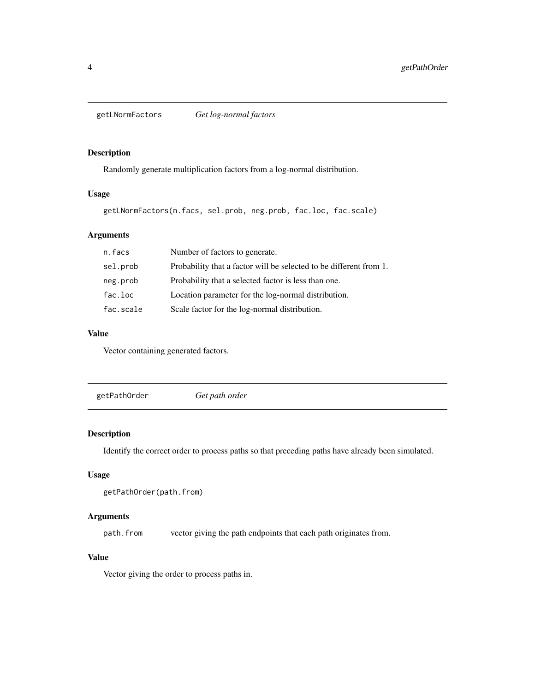<span id="page-3-1"></span><span id="page-3-0"></span>getLNormFactors *Get log-normal factors*

#### Description

Randomly generate multiplication factors from a log-normal distribution.

#### Usage

getLNormFactors(n.facs, sel.prob, neg.prob, fac.loc, fac.scale)

#### Arguments

| n.facs    | Number of factors to generate.                                     |
|-----------|--------------------------------------------------------------------|
| sel.prob  | Probability that a factor will be selected to be different from 1. |
| neg.prob  | Probability that a selected factor is less than one.               |
| fac.loc   | Location parameter for the log-normal distribution.                |
| fac.scale | Scale factor for the log-normal distribution.                      |

#### Value

Vector containing generated factors.

getPathOrder *Get path order*

#### Description

Identify the correct order to process paths so that preceding paths have already been simulated.

#### Usage

```
getPathOrder(path.from)
```
#### Arguments

path.from vector giving the path endpoints that each path originates from.

#### Value

Vector giving the order to process paths in.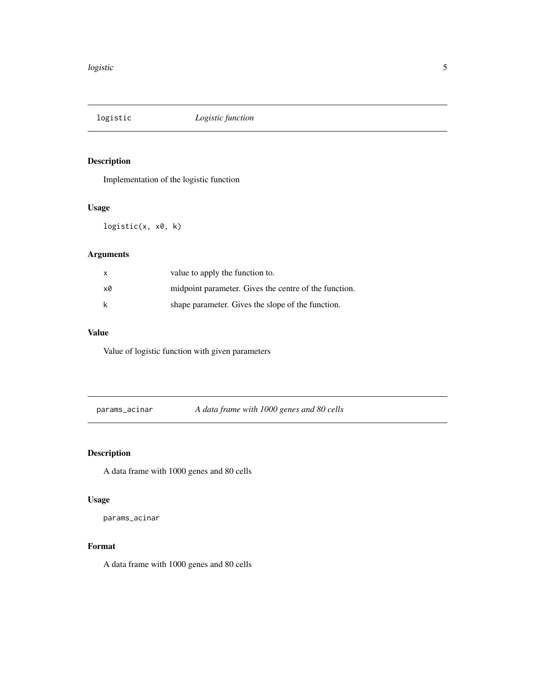<span id="page-4-0"></span>

Implementation of the logistic function

#### Usage

logistic(x, x0, k)

### Arguments

| $\mathsf{x}$ | value to apply the function to.                       |
|--------------|-------------------------------------------------------|
| x0           | midpoint parameter. Gives the centre of the function. |
| k            | shape parameter. Gives the slope of the function.     |

#### Value

Value of logistic function with given parameters

params\_acinar *A data frame with 1000 genes and 80 cells*

### Description

A data frame with 1000 genes and 80 cells

### Usage

params\_acinar

#### Format

A data frame with 1000 genes and 80 cells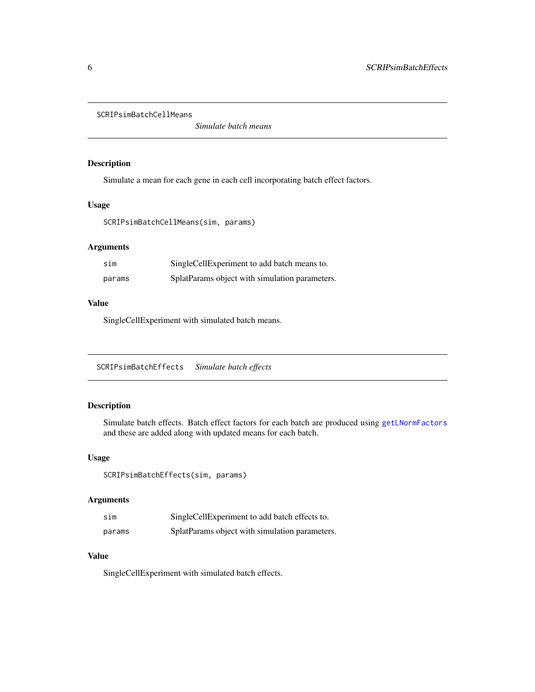<span id="page-5-0"></span>SCRIPsimBatchCellMeans

*Simulate batch means*

#### Description

Simulate a mean for each gene in each cell incorporating batch effect factors.

#### Usage

SCRIPsimBatchCellMeans(sim, params)

#### Arguments

| sim    | SingleCellExperiment to add batch means to.    |
|--------|------------------------------------------------|
| params | SplatParams object with simulation parameters. |

#### Value

SingleCellExperiment with simulated batch means.

SCRIPsimBatchEffects *Simulate batch effects*

#### Description

Simulate batch effects. Batch effect factors for each batch are produced using [getLNormFactors](#page-3-1) and these are added along with updated means for each batch.

#### Usage

SCRIPsimBatchEffects(sim, params)

#### Arguments

| sim    | SingleCellExperiment to add batch effects to.  |
|--------|------------------------------------------------|
| params | SplatParams object with simulation parameters. |

#### Value

SingleCellExperiment with simulated batch effects.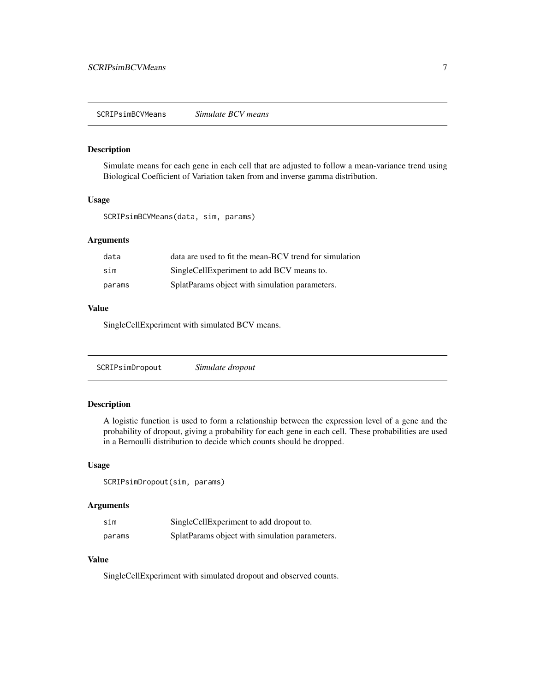<span id="page-6-0"></span>SCRIPsimBCVMeans *Simulate BCV means*

#### Description

Simulate means for each gene in each cell that are adjusted to follow a mean-variance trend using Biological Coefficient of Variation taken from and inverse gamma distribution.

#### Usage

SCRIPsimBCVMeans(data, sim, params)

#### Arguments

| data   | data are used to fit the mean-BCV trend for simulation |
|--------|--------------------------------------------------------|
| sim    | SingleCellExperiment to add BCV means to.              |
| params | SplatParams object with simulation parameters.         |

#### Value

SingleCellExperiment with simulated BCV means.

| SCRIPsimDropout | Simulate dropout |  |
|-----------------|------------------|--|
|-----------------|------------------|--|

#### Description

A logistic function is used to form a relationship between the expression level of a gene and the probability of dropout, giving a probability for each gene in each cell. These probabilities are used in a Bernoulli distribution to decide which counts should be dropped.

#### Usage

SCRIPsimDropout(sim, params)

#### Arguments

| sim    | SingleCellExperiment to add dropout to.        |
|--------|------------------------------------------------|
| params | SplatParams object with simulation parameters. |

#### Value

SingleCellExperiment with simulated dropout and observed counts.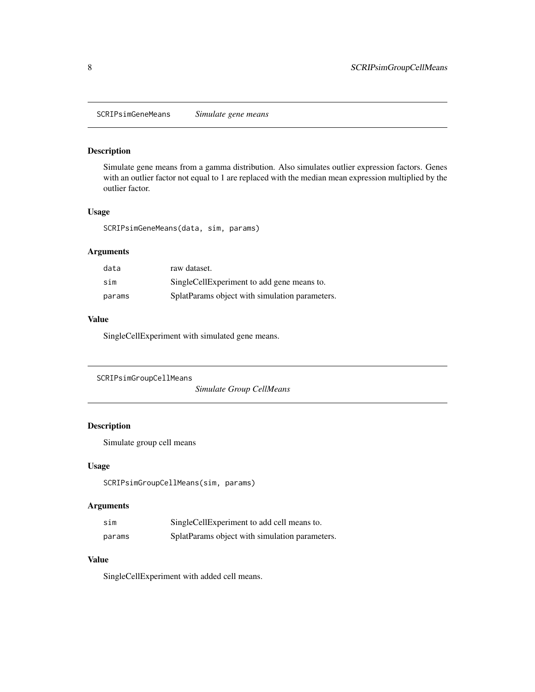<span id="page-7-0"></span>SCRIPsimGeneMeans *Simulate gene means*

#### Description

Simulate gene means from a gamma distribution. Also simulates outlier expression factors. Genes with an outlier factor not equal to 1 are replaced with the median mean expression multiplied by the outlier factor.

#### Usage

SCRIPsimGeneMeans(data, sim, params)

#### Arguments

| data   | raw dataset.                                   |
|--------|------------------------------------------------|
| sim    | SingleCellExperiment to add gene means to.     |
| params | SplatParams object with simulation parameters. |

### Value

SingleCellExperiment with simulated gene means.

```
SCRIPsimGroupCellMeans
```
*Simulate Group CellMeans*

#### Description

Simulate group cell means

#### Usage

SCRIPsimGroupCellMeans(sim, params)

#### Arguments

| sim    | SingleCellExperiment to add cell means to.     |
|--------|------------------------------------------------|
| params | SplatParams object with simulation parameters. |

#### Value

SingleCellExperiment with added cell means.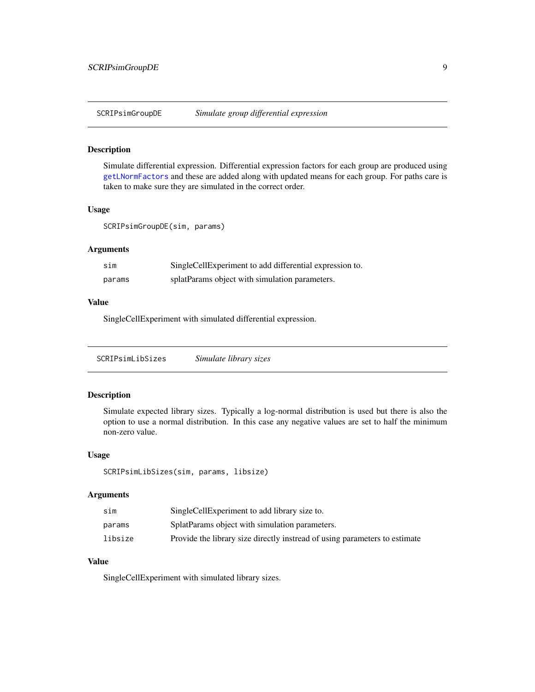<span id="page-8-0"></span>

Simulate differential expression. Differential expression factors for each group are produced using [getLNormFactors](#page-3-1) and these are added along with updated means for each group. For paths care is taken to make sure they are simulated in the correct order.

#### Usage

SCRIPsimGroupDE(sim, params)

#### Arguments

| sim    | SingleCellExperiment to add differential expression to. |
|--------|---------------------------------------------------------|
| params | splatParams object with simulation parameters.          |

#### Value

SingleCellExperiment with simulated differential expression.

| SCRIPsimLibSizes | Simulate library sizes |
|------------------|------------------------|
|                  |                        |

#### Description

Simulate expected library sizes. Typically a log-normal distribution is used but there is also the option to use a normal distribution. In this case any negative values are set to half the minimum non-zero value.

#### Usage

SCRIPsimLibSizes(sim, params, libsize)

#### Arguments

| sim     | SingleCellExperiment to add library size to.                               |
|---------|----------------------------------------------------------------------------|
| params  | SplatParams object with simulation parameters.                             |
| libsize | Provide the library size directly instread of using parameters to estimate |

#### Value

SingleCellExperiment with simulated library sizes.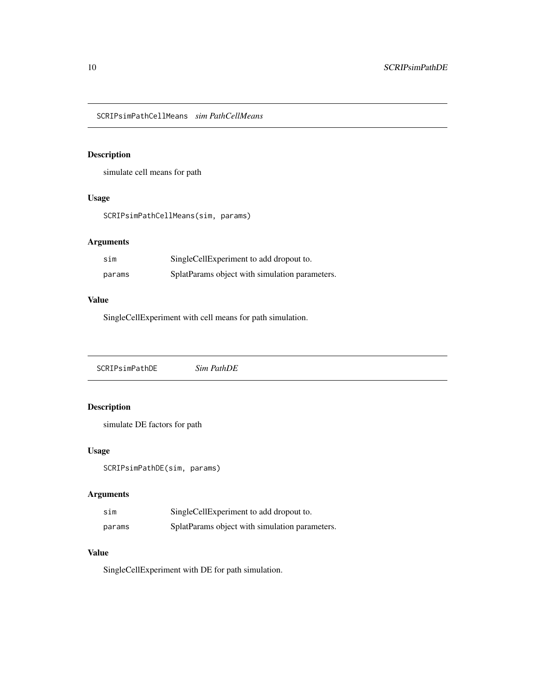<span id="page-9-0"></span>SCRIPsimPathCellMeans *sim PathCellMeans*

### Description

simulate cell means for path

#### Usage

SCRIPsimPathCellMeans(sim, params)

### Arguments

| sim    | SingleCellExperiment to add dropout to.        |
|--------|------------------------------------------------|
| params | SplatParams object with simulation parameters. |

#### Value

SingleCellExperiment with cell means for path simulation.

SCRIPsimPathDE *Sim PathDE*

#### Description

simulate DE factors for path

#### Usage

SCRIPsimPathDE(sim, params)

#### Arguments

| sim    | SingleCellExperiment to add dropout to.        |
|--------|------------------------------------------------|
| params | SplatParams object with simulation parameters. |

## Value

SingleCellExperiment with DE for path simulation.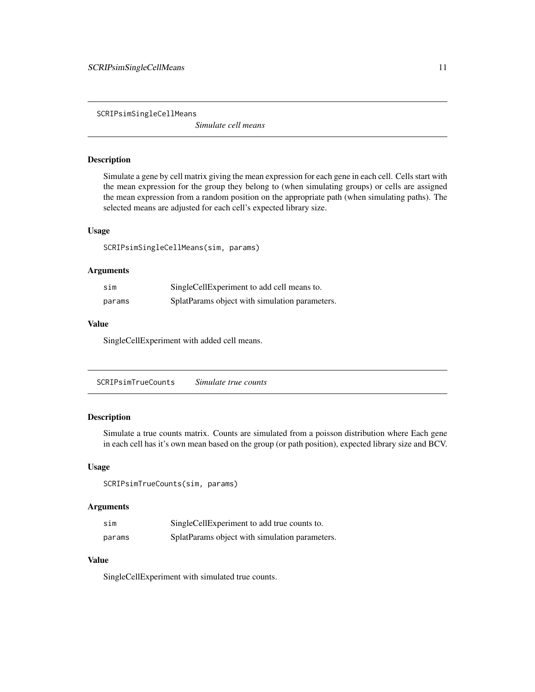<span id="page-10-0"></span>SCRIPsimSingleCellMeans

*Simulate cell means*

#### Description

Simulate a gene by cell matrix giving the mean expression for each gene in each cell. Cells start with the mean expression for the group they belong to (when simulating groups) or cells are assigned the mean expression from a random position on the appropriate path (when simulating paths). The selected means are adjusted for each cell's expected library size.

#### Usage

SCRIPsimSingleCellMeans(sim, params)

#### Arguments

| sim    | SingleCellExperiment to add cell means to.     |
|--------|------------------------------------------------|
| params | SplatParams object with simulation parameters. |

#### Value

SingleCellExperiment with added cell means.

SCRIPsimTrueCounts *Simulate true counts*

#### Description

Simulate a true counts matrix. Counts are simulated from a poisson distribution where Each gene in each cell has it's own mean based on the group (or path position), expected library size and BCV.

#### Usage

```
SCRIPsimTrueCounts(sim, params)
```
#### Arguments

| sim    | SingleCellExperiment to add true counts to.    |
|--------|------------------------------------------------|
| params | SplatParams object with simulation parameters. |

#### Value

SingleCellExperiment with simulated true counts.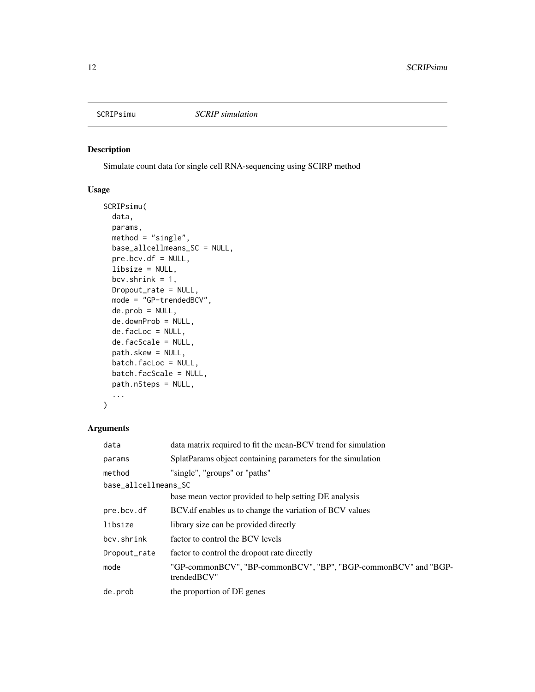<span id="page-11-0"></span>

Simulate count data for single cell RNA-sequencing using SCIRP method

#### Usage

```
SCRIPsimu(
  data,
 params,
 method = "single",
 base_allcellmeans_SC = NULL,
 pre.bcv.df = NULL,
  libsize = NULL,
 bcv.shrink = 1,
 Dropout_rate = NULL,
 mode = "GP-trendedBCV",
 de.prob = NULL,
  de.downProb = NULL,
  de.facLoc = NULL,
  de.facScale = NULL,
 path.skew = NULL,
 batch.facLoc = NULL,
  batch.facScale = NULL,
 path.nSteps = NULL,
  ...
```

```
\mathcal{L}
```
#### Arguments

| data                 | data matrix required to fit the mean-BCV trend for simulation                  |  |
|----------------------|--------------------------------------------------------------------------------|--|
| params               | SplatParams object containing parameters for the simulation                    |  |
| method               | "single", "groups" or "paths"                                                  |  |
| base_allcellmeans_SC |                                                                                |  |
|                      | base mean vector provided to help setting DE analysis                          |  |
| pre.bcv.df           | BCV of enables us to change the variation of BCV values                        |  |
| libsize              | library size can be provided directly                                          |  |
| bcv.shrink           | factor to control the BCV levels                                               |  |
| Dropout_rate         | factor to control the dropout rate directly                                    |  |
| mode                 | "GP-commonBCV", "BP-commonBCV", "BP", "BGP-commonBCV" and "BGP-<br>trendedBCV" |  |
| de.prob              | the proportion of DE genes                                                     |  |
|                      |                                                                                |  |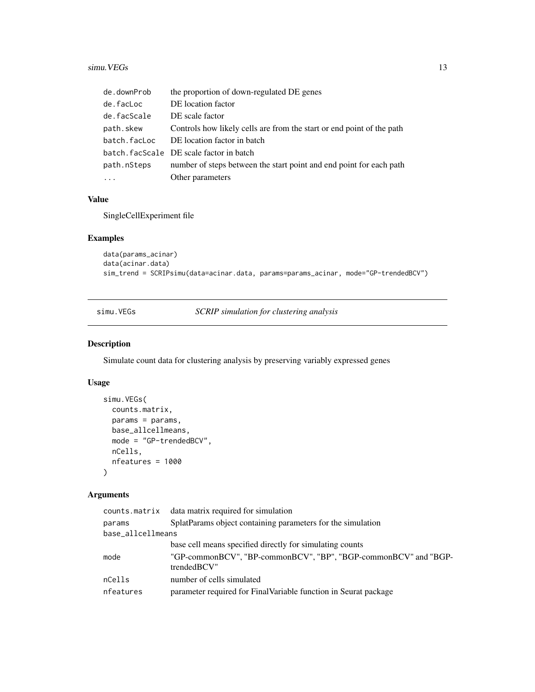#### <span id="page-12-0"></span> $s_{\text{imu}}$ . VEGs 13

| de.downProb  | the proportion of down-regulated DE genes                             |
|--------------|-----------------------------------------------------------------------|
| de.facLoc    | DE location factor                                                    |
| de.facScale  | DE scale factor                                                       |
| path.skew    | Controls how likely cells are from the start or end point of the path |
| batch.facLoc | DE location factor in batch                                           |
|              | batch. facScale DE scale factor in batch                              |
| path.nSteps  | number of steps between the start point and end point for each path   |
|              | Other parameters                                                      |

#### Value

SingleCellExperiment file

#### Examples

```
data(params_acinar)
data(acinar.data)
sim_trend = SCRIPsimu(data=acinar.data, params=params_acinar, mode="GP-trendedBCV")
```
simu.VEGs *SCRIP simulation for clustering analysis*

#### Description

Simulate count data for clustering analysis by preserving variably expressed genes

#### Usage

```
simu.VEGs(
 counts.matrix,
 params = params,
 base_allcellmeans,
 mode = "GP-trendedBCV",
 nCells,
 nfeatures = 1000
)
```
#### Arguments

| counts matrix data matrix required for simulation                              |
|--------------------------------------------------------------------------------|
| SplatParams object containing parameters for the simulation                    |
| base_allcellmeans                                                              |
| base cell means specified directly for simulating counts                       |
| "GP-commonBCV", "BP-commonBCV", "BP", "BGP-commonBCV" and "BGP-<br>trendedBCV" |
| number of cells simulated                                                      |
| parameter required for FinalVariable function in Seurat package                |
|                                                                                |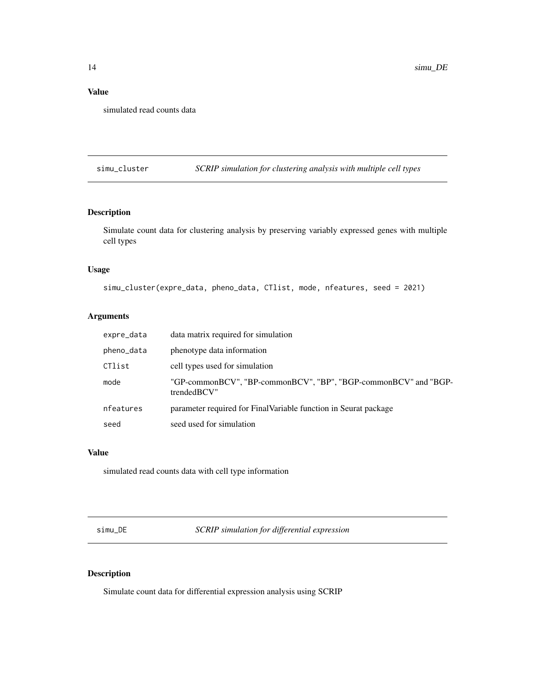#### <span id="page-13-0"></span>Value

simulated read counts data

simu\_cluster *SCRIP simulation for clustering analysis with multiple cell types*

#### Description

Simulate count data for clustering analysis by preserving variably expressed genes with multiple cell types

#### Usage

simu\_cluster(expre\_data, pheno\_data, CTlist, mode, nfeatures, seed = 2021)

#### Arguments

| expre_data | data matrix required for simulation                                            |
|------------|--------------------------------------------------------------------------------|
| pheno_data | phenotype data information                                                     |
| CTlist     | cell types used for simulation                                                 |
| mode       | "GP-commonBCV", "BP-commonBCV", "BP", "BGP-commonBCV" and "BGP-<br>trendedBCV" |
| nfeatures  | parameter required for FinalVariable function in Seurat package                |
| seed       | seed used for simulation                                                       |

#### Value

simulated read counts data with cell type information

simu\_DE *SCRIP simulation for differential expression*

### Description

Simulate count data for differential expression analysis using SCRIP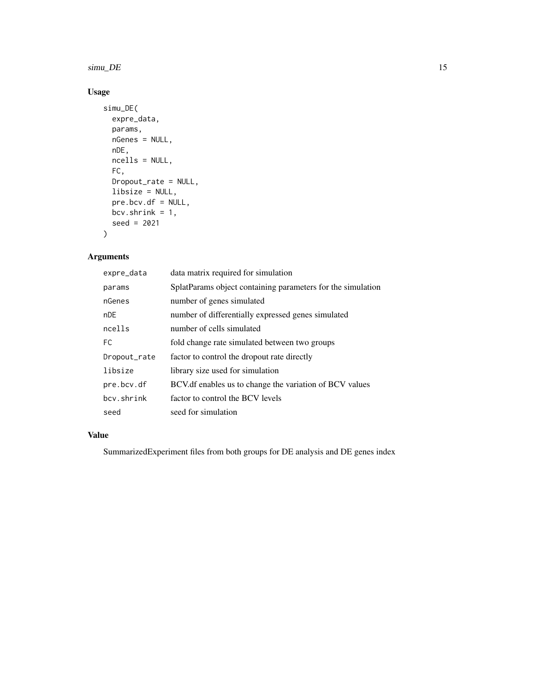#### $\sin \theta = 15$

#### Usage

```
simu_DE(
  expre_data,
  params,
  nGenes = NULL,
  nDE,
  ncells = NULL,
  FC,
  Dropout_rate = NULL,
  libsize = NULL,
  pre.bcv.df = NULL,
  bcv.shrink = 1,
  seed = 2021
\mathcal{L}
```
### Arguments

| expre_data   | data matrix required for simulation                         |
|--------------|-------------------------------------------------------------|
| params       | SplatParams object containing parameters for the simulation |
| nGenes       | number of genes simulated                                   |
| nDE          | number of differentially expressed genes simulated          |
| ncells       | number of cells simulated                                   |
| FC.          | fold change rate simulated between two groups               |
| Dropout_rate | factor to control the dropout rate directly                 |
| libsize      | library size used for simulation                            |
| pre.bcv.df   | BCV.df enables us to change the variation of BCV values     |
| bcy.shrink   | factor to control the BCV levels                            |
| seed         | seed for simulation                                         |

#### Value

SummarizedExperiment files from both groups for DE analysis and DE genes index